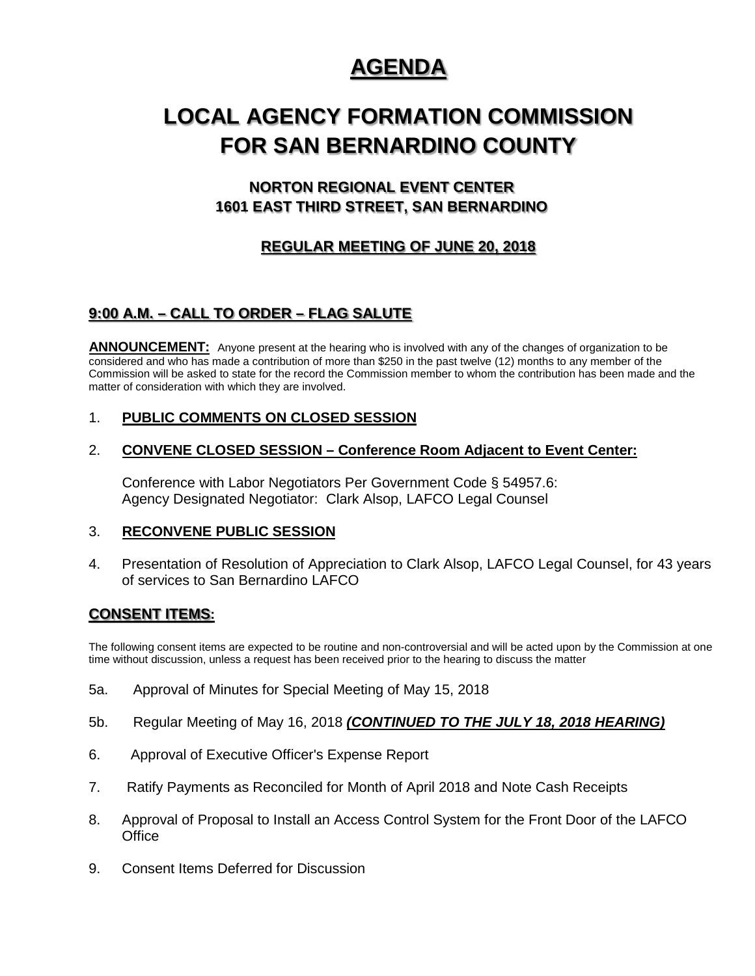## **AGENDA**

# **LOCAL AGENCY FORMATION COMMISSION FOR SAN BERNARDINO COUNTY**

## **NORTON REGIONAL EVENT CENTER 1601 EAST THIRD STREET, SAN BERNARDINO**

## **REGULAR MEETING OF JUNE 20, 2018**

## **9:00 A.M. – CALL TO ORDER – FLAG SALUTE**

**ANNOUNCEMENT:** Anyone present at the hearing who is involved with any of the changes of organization to be considered and who has made a contribution of more than \$250 in the past twelve (12) months to any member of the Commission will be asked to state for the record the Commission member to whom the contribution has been made and the matter of consideration with which they are involved.

#### 1. **PUBLIC COMMENTS ON CLOSED SESSION**

#### 2. **CONVENE CLOSED SESSION – Conference Room Adjacent to Event Center:**

Conference with Labor Negotiators Per Government Code § 54957.6: Agency Designated Negotiator: Clark Alsop, LAFCO Legal Counsel

#### 3. **RECONVENE PUBLIC SESSION**

4. Presentation of Resolution of Appreciation to Clark Alsop, LAFCO Legal Counsel, for 43 years of services to San Bernardino LAFCO

#### **CONSENT ITEMS:**

The following consent items are expected to be routine and non-controversial and will be acted upon by the Commission at one time without discussion, unless a request has been received prior to the hearing to discuss the matter

- 5a. Approval of Minutes for Special Meeting of May 15, 2018
- 5b. Regular Meeting of May 16, 2018 *(CONTINUED TO THE JULY 18, 2018 HEARING)*
- 6. Approval of Executive Officer's Expense Report
- 7. Ratify Payments as Reconciled for Month of April 2018 and Note Cash Receipts
- 8. Approval of Proposal to Install an Access Control System for the Front Door of the LAFCO **Office**
- 9. Consent Items Deferred for Discussion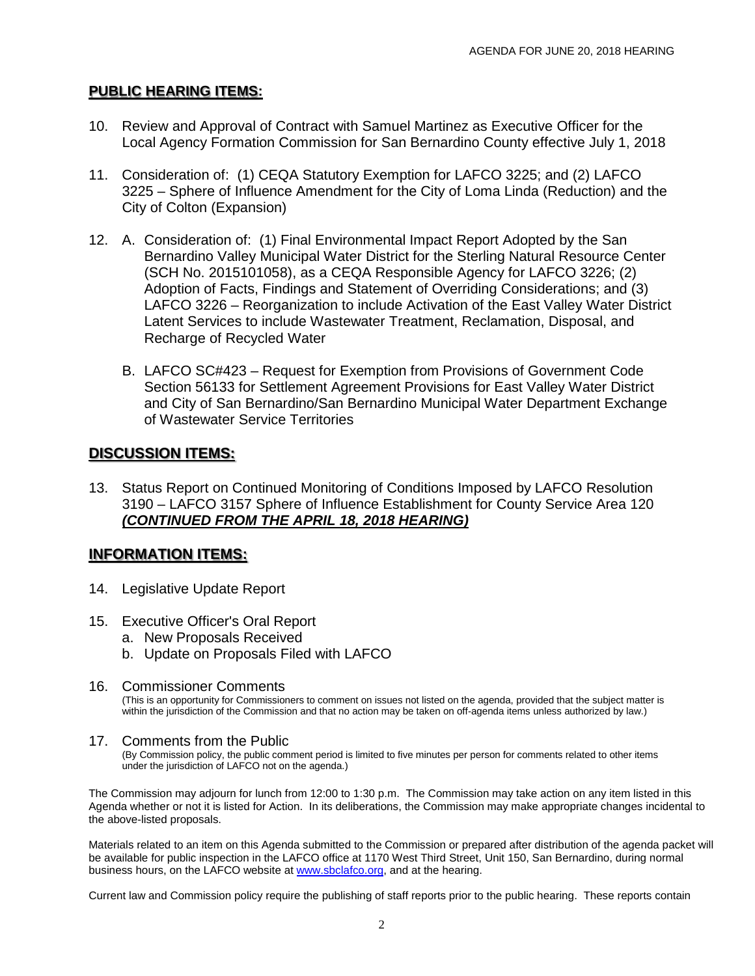#### **PUBLIC HEARING ITEMS:**

- 10. Review and Approval of Contract with Samuel Martinez as Executive Officer for the Local Agency Formation Commission for San Bernardino County effective July 1, 2018
- 11. Consideration of: (1) CEQA Statutory Exemption for LAFCO 3225; and (2) LAFCO 3225 – Sphere of Influence Amendment for the City of Loma Linda (Reduction) and the City of Colton (Expansion)
- 12. A. Consideration of: (1) Final Environmental Impact Report Adopted by the San Bernardino Valley Municipal Water District for the Sterling Natural Resource Center (SCH No. 2015101058), as a CEQA Responsible Agency for LAFCO 3226; (2) Adoption of Facts, Findings and Statement of Overriding Considerations; and (3) LAFCO 3226 – Reorganization to include Activation of the East Valley Water District Latent Services to include Wastewater Treatment, Reclamation, Disposal, and Recharge of Recycled Water
	- B. LAFCO SC#423 Request for Exemption from Provisions of Government Code Section 56133 for Settlement Agreement Provisions for East Valley Water District and City of San Bernardino/San Bernardino Municipal Water Department Exchange of Wastewater Service Territories

### **DISCUSSION ITEMS:**

13. Status Report on Continued Monitoring of Conditions Imposed by LAFCO Resolution 3190 – LAFCO 3157 Sphere of Influence Establishment for County Service Area 120 *(CONTINUED FROM THE APRIL 18, 2018 HEARING)*

## **INFORMATION ITEMS:**

- 14. Legislative Update Report
- 15. Executive Officer's Oral Report
	- a. New Proposals Received
	- b. Update on Proposals Filed with LAFCO
- 16. Commissioner Comments

(This is an opportunity for Commissioners to comment on issues not listed on the agenda, provided that the subject matter is within the jurisdiction of the Commission and that no action may be taken on off-agenda items unless authorized by law.)

#### 17. Comments from the Public

(By Commission policy, the public comment period is limited to five minutes per person for comments related to other items under the jurisdiction of LAFCO not on the agenda.)

The Commission may adjourn for lunch from 12:00 to 1:30 p.m. The Commission may take action on any item listed in this Agenda whether or not it is listed for Action. In its deliberations, the Commission may make appropriate changes incidental to the above-listed proposals.

Materials related to an item on this Agenda submitted to the Commission or prepared after distribution of the agenda packet will be available for public inspection in the LAFCO office at 1170 West Third Street, Unit 150, San Bernardino, during normal business hours, on the LAFCO website a[t www.sbclafco.org,](http://www.sbclafco.org/) and at the hearing.

Current law and Commission policy require the publishing of staff reports prior to the public hearing. These reports contain